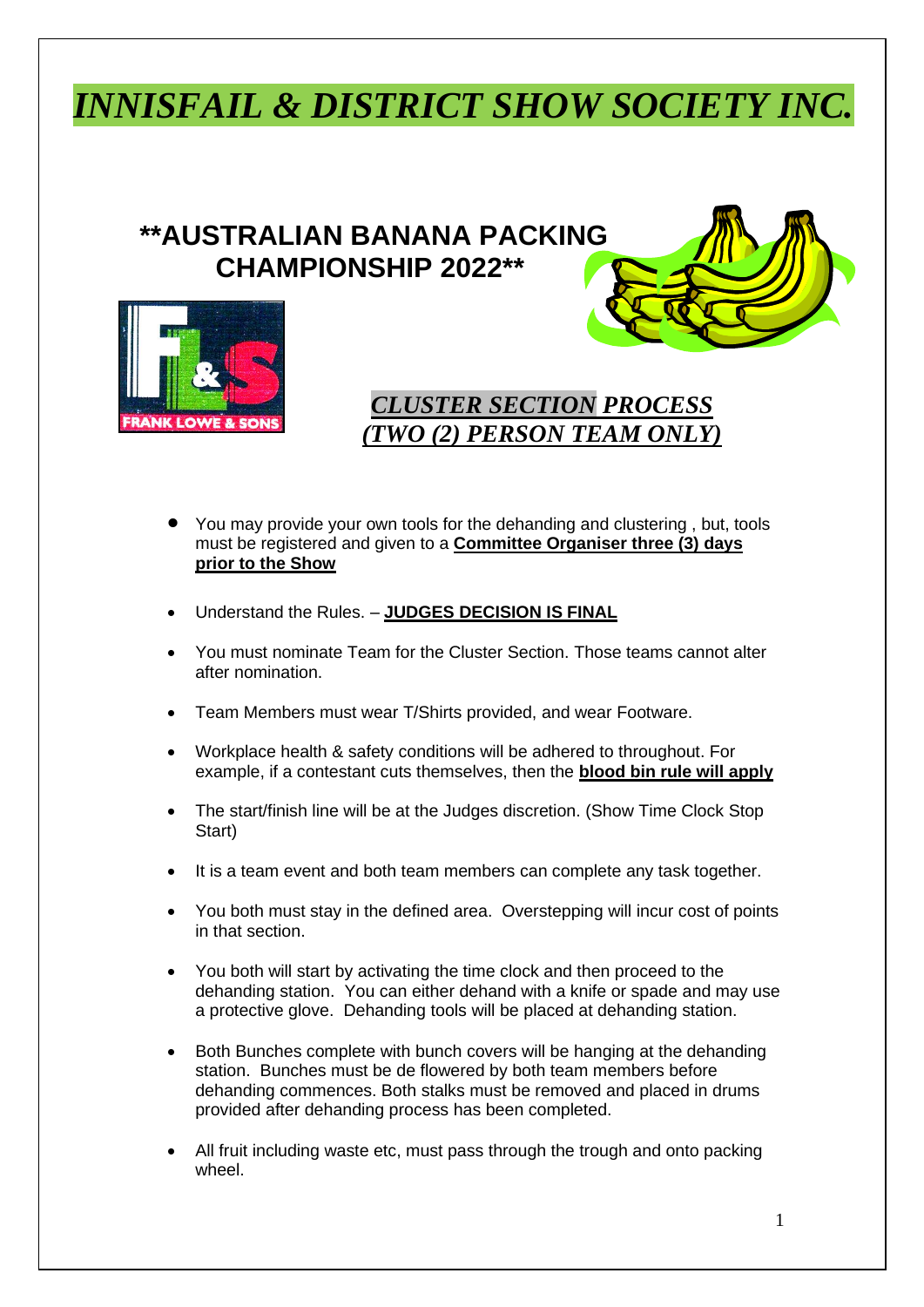## *INNISFAIL & DISTRICT SHOW SOCIETY INC.*

## **\*\*AUSTRALIAN BANANA PACKING CHAMPIONSHIP 2022\*\***





## *CLUSTER SECTION PROCESS (TWO (2) PERSON TEAM ONLY)*

- You may provide your own tools for the dehanding and clustering , but, tools must be registered and given to a **Committee Organiser three (3) days prior to the Show**
- Understand the Rules. **JUDGES DECISION IS FINAL**
- You must nominate Team for the Cluster Section. Those teams cannot alter after nomination.
- Team Members must wear T/Shirts provided, and wear Footware.
- Workplace health & safety conditions will be adhered to throughout. For example, if a contestant cuts themselves, then the **blood bin rule will apply**
- The start/finish line will be at the Judges discretion. (Show Time Clock Stop Start)
- It is a team event and both team members can complete any task together.
- You both must stay in the defined area. Overstepping will incur cost of points in that section.
- You both will start by activating the time clock and then proceed to the dehanding station. You can either dehand with a knife or spade and may use a protective glove. Dehanding tools will be placed at dehanding station.
- Both Bunches complete with bunch covers will be hanging at the dehanding station. Bunches must be de flowered by both team members before dehanding commences. Both stalks must be removed and placed in drums provided after dehanding process has been completed.
- All fruit including waste etc, must pass through the trough and onto packing wheel.